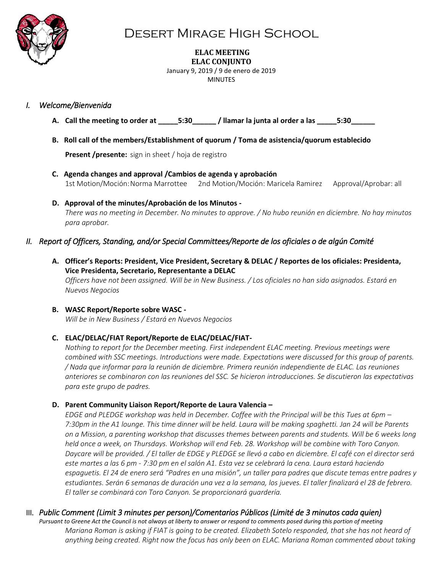

## Desert Mirage High School

## **ELAC MEETING ELAC CONJUNTO**

January 9, 2019 / 9 de enero de 2019 MINUTES

### *I. Welcome/Bienvenida*

- A. Call the meeting to order at  $\qquad 5:30$  / llamar la junta al order a las  $\qquad 5:30$
- **B. Roll call of the members/Establishment of quorum / Toma de asistencia/quorum establecido**

**Present /presente:** sign in sheet / hoja de registro

- **C. Agenda changes and approval /Cambios de agenda y aprobación** 1st Motion/Moción:Norma Marrottee 2nd Motion/Moción: Maricela Ramirez Approval/Aprobar: all
- **D. Approval of the minutes/Aprobación de los Minutos -** *There was no meeting in December. No minutes to approve. / No hubo reunión en diciembre. No hay minutos para aprobar.*

### *II. Report of Officers, Standing, and/or Special Committees/Reporte de los oficiales o de algún Comité*

**A. Officer's Reports: President, Vice President, Secretary & DELAC / Reportes de los oficiales: Presidenta, Vice Presidenta, Secretario, Representante a DELAC** *Officers have not been assigned. Will be in New Business. / Los oficiales no han sido asignados. Estará en Nuevos Negocios*

### **B. WASC Report/Reporte sobre WASC -**

*Will be in New Business / Estará en Nuevos Negocios*

### **C. ELAC/DELAC/FIAT Report/Reporte de ELAC/DELAC/FIAT-**

*Nothing to report for the December meeting. First independent ELAC meeting. Previous meetings were combined with SSC meetings. Introductions were made. Expectations were discussed for this group of parents. / Nada que informar para la reunión de diciembre. Primera reunión independiente de ELAC. Las reuniones anteriores se combinaron con las reuniones del SSC. Se hicieron introducciones. Se discutieron las expectativas para este grupo de padres.*

### **D. Parent Community Liaison Report/Reporte de Laura Valencia –**

*EDGE and PLEDGE workshop was held in December. Coffee with the Principal will be this Tues at 6pm – 7:30pm in the A1 lounge. This time dinner will be held. Laura will be making spaghetti. Jan 24 will be Parents on a Mission, a parenting workshop that discusses themes between parents and students. Will be 6 weeks long held once a week, on Thursdays. Workshop will end Feb. 28. Workshop will be combine with Toro Canyon. Daycare will be provided. / El taller de EDGE y PLEDGE se llevó a cabo en diciembre. El café con el director será este martes a las 6 pm - 7:30 pm en el salón A1. Esta vez se celebrará la cena. Laura estará haciendo espaguetis. El 24 de enero será "Padres en una misión", un taller para padres que discute temas entre padres y*  estudiantes. Serán 6 semanas de duración una vez a la semana, los jueves. El taller finalizará el 28 de febrero. *El taller se combinará con Toro Canyon. Se proporcionará guardería.*

### III. *Public Comment (Limit 3 minutes per person)/Comentarios Públicos (Limité de 3 minutos cada quien)*

*Pursuant to Greene Act the Council is not always at liberty to answer or respond to comments posed during this portion of meeting Mariana Roman is asking if FIAT is going to be created. Elizabeth Sotelo responded, that she has not heard of anything being created. Right now the focus has only been on ELAC. Mariana Roman commented about taking*